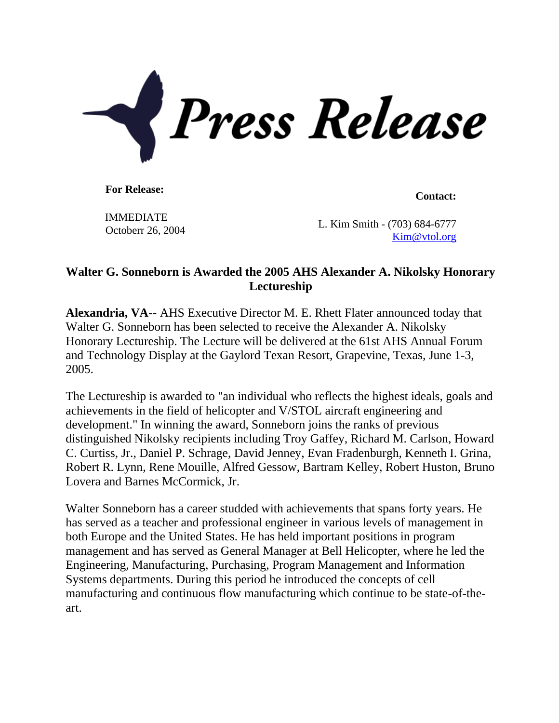

**For Release: Contact: Contact: Contact: Contact: Contact: Contact: Contact: Contact: Contact: Contact: Contact: Contact: Contact: Contact: Contact: Contact: Contact: Contact: Contact:** 

IMMEDIATE Octoberr 26, 2004

L. Kim Smith - (703) 684-6777 [Kim@vtol.org](mailto:Kim@vtol.org)

## **Walter G. Sonneborn is Awarded the 2005 AHS Alexander A. Nikolsky Honorary Lectureship**

**Alexandria, VA--** AHS Executive Director M. E. Rhett Flater announced today that Walter G. Sonneborn has been selected to receive the Alexander A. Nikolsky Honorary Lectureship. The Lecture will be delivered at the 61st AHS Annual Forum and Technology Display at the Gaylord Texan Resort, Grapevine, Texas, June 1-3, 2005.

The Lectureship is awarded to "an individual who reflects the highest ideals, goals and achievements in the field of helicopter and V/STOL aircraft engineering and development." In winning the award, Sonneborn joins the ranks of previous distinguished Nikolsky recipients including Troy Gaffey, Richard M. Carlson, Howard C. Curtiss, Jr., Daniel P. Schrage, David Jenney, Evan Fradenburgh, Kenneth I. Grina, Robert R. Lynn, Rene Mouille, Alfred Gessow, Bartram Kelley, Robert Huston, Bruno Lovera and Barnes McCormick, Jr.

Walter Sonneborn has a career studded with achievements that spans forty years. He has served as a teacher and professional engineer in various levels of management in both Europe and the United States. He has held important positions in program management and has served as General Manager at Bell Helicopter, where he led the Engineering, Manufacturing, Purchasing, Program Management and Information Systems departments. During this period he introduced the concepts of cell manufacturing and continuous flow manufacturing which continue to be state-of-theart.